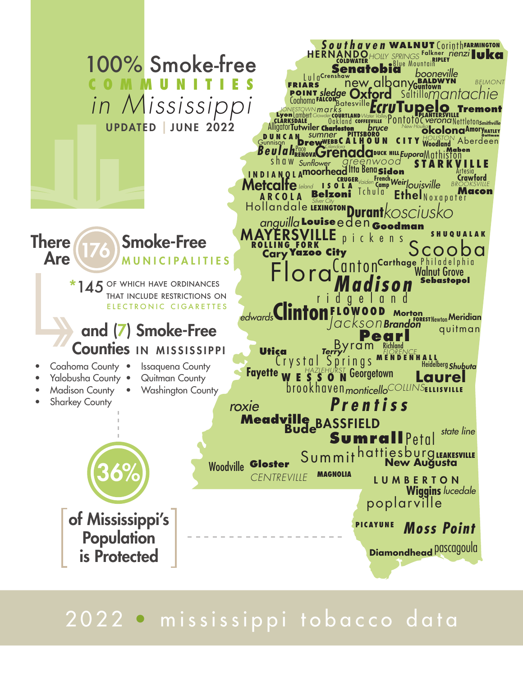

# 2022 • mississippi tobacco data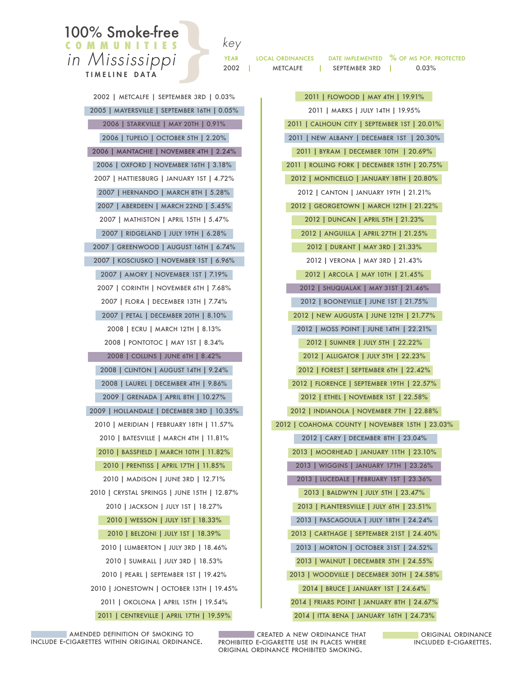## **100% Smoke-free**

LOCAL ORDINANCES DATE IMPLEMENTED % OF MS POP. PROTECTED <sup>2</sup><br>2002 | METCALFE | SEPTEMBER 3RD | 0.03%<br>2002 | METCALFE | SEPTEMBER 3RD | 0.03%

2002 | metcalfe | september 3rd | 0.03% 2005 | mayersville | september 16th | 0.05% 2006 | starkville | may 20th | 0.91% 2006 | tupelo | october 5th | 2.20% 2006 | mantachie | november 4th | 2.24% 2006 | oxford | november 16th | 3.18%

2007 | hattiesburg | january 1st | 4.72% 2007 | hernando | march 8th | 5.28% 2007 | aberdeen | march 22nd | 5.45% 2007 | mathiston | april 15th | 5.47%

c o m m u n i t i e s *in Mississippi* TIMELINE DATA

> 2007 | ridgeland | july 19th | 6.28% 2007 | greenwood | august 16th | 6.74%

> 2007 | kosciusko | november 1st | 6.96% 2007 | amory | november 1st | 7.19% 2007 | corinth | november 6th | 7.68%

2007 | flora | december 13th | 7.74% 2007 | petal | december 20th | 8.10%

2008 | ecru | march 12th | 8.13% 2008 | pontotoc | may 1st | 8.34% 2008 | collins | june 6th | 8.42%

2008 | clinton | august 14th | 9.24% 2008 | laurel | december 4th | 9.86% 2009 | grenada | april 8th | 10.27%

2009 | hollandale | december 3rd | 10.35% 2010 | meridian | february 18th | 11.57% 2010 | batesville | march 4th | 11.81%

2010 | bassfield | march 10th | 11.82%

2010 | prentiss | april 17th | 11.85%

2010 | madison | june 3rd | 12.71%

2010 | crystal springs | june 15th | 12.87%

2010 | jackson | july 1st | 18.27%

2010 | wesson | july 1st | 18.33%

2010 | belzoni | july 1st | 18.39%

2010 | lumberton | july 3rd | 18.46%

2010 | sumrall | july 3rd | 18.53% 2010 | pearl | september 1st | 19.42% 2010 | jonestown | october 13th | 19.45%

2011 | okolona | april 15th | 19.54%

2011 | centreville | april 17th | 19.59%

2011 | flowood | may 4th | 19.91% 2011 | marks | july 14th | 19.95% 2011 | calhoun city | september 1st | 20.01% 2011 | new albany | december 1st | 20.30% 2011 | byram | december 10th | 20.69% 2011 | rolling fork | december 15th | 20.75% 2012 | monticello | january 18th | 20.80% 2012 | canton | january 19th | 21.21% 2012 | georgetown | march 12th | 21.22% 2012 | duncan | april 5th | 21.23% 2012 | anguilla | april 27th | 21.25% 2012 | durant | may 3rd | 21.33% 2012 | verona | may 3rd | 21.43% 2012 | arcola | may 10th | 21.45% 2012 | shuqualak | may 31st | 21.46% 2012 | booneville | june 1st | 21.75% 2012 | new augusta | june 12th | 21.77% 2012 | moss point | june 14th | 22.21% 2012 | sumner | july 5th | 22.22% 2012 | alligator | july 5th | 22.23% 2012 | forest | september 6th | 22.42% 2012 | florence | september 19th | 22.57% 2012 | ethel | november 1st | 22.58% 2012 | indianola | november 7th | 22.88% 2012 | coahoma county | november 15th | 23.03% 2012 | cary | december 8th | 23.04% 2013 | moorhead | january 11th | 23.10% 2013 | wiggins | january 17th | 23.26% 2013 | lucedale | february 1st | 23.36% 2013 | baldwyn | july 5th | 23.47% 2013 | plantersville | july 6th | 23.51% 2013 | pascagoula | july 18th | 24.24% 2013 | carthage | september 21st | 24.40% 2013 | morton | october 31st | 24.52% 2013 | walnut | december 5th | 24.55% 2013 | woodville | december 30th | 24.58%

2014 | bruce | january 1st | 24.64% 2014 | friars point | january 8th | 24.67%

2014 | itta bena | january 16th | 24.73%

**CREATED A NEW ORDINANCE THAT** amended definition of smoking to the second of the second of the second of the second of the second of the second<br>--Cigarettes within original ordinance. The prohibited e-cigarette use in places where the thorouded e-cigar original ordinance prohibited smoking.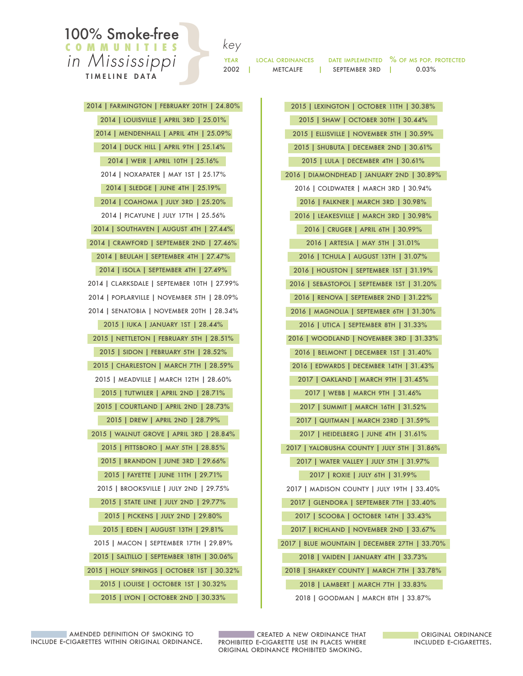### **100% Smoke-free**<br>COMMUNITIES c o m m u n i t i e s *in Mississipp*

TIMELINE DATA

|                | .  |
|----------------|----|
| $\overline{I}$ | YE |
|                | 20 |

LOCAL ORDINANCES DATE IMPLEMENTED % OF MS POP. PROTECTED <sup>2</sup><br>2002 | METCALFE | SEPTEMBER 3RD | 0.03%<br>2002 | METCALFE | SEPTEMBER 3RD | 0.03%

2015 | lexington | october 11th | 30.38% 2015 | shaw | october 30th | 30.44% 2015 | ellisville | november 5th | 30.59% 2015 | shubuta | december 2nd | 30.61% 2015 | lula | december 4th | 30.61% 2016 | diamondhead | january 2nd | 30.89% 2016 | coldwater | march 3rd | 30.94% 2016 | falkner | march 3rd | 30.98% 2016 | leakesville | march 3rd | 30.98% 2016 | cruger | april 6th | 30.99% 2016 | artesia | may 5th | 31.01% 2016 | tchula | august 13th | 31.07% 2016 | houston | september 1st | 31.19% 2016 | sebastopol | september 1st | 31.20% 2016 | renova | september 2nd | 31.22% 2016 | magnolia | september 6th | 31.30% 2016 | utica | september 8th | 31.33% 2016 | woodland | november 3rd | 31.33% 2016 | belmont | december 1st | 31.40% 2016 | edwards | december 14th | 31.43% 2017 | oakland | march 9th | 31.45% 2017 | webb | march 9th | 31.46% 2017 | summit | march 16th | 31.52% 2017 | quitman | march 23rd | 31.59% 2017 | heidelberg | june 4th | 31.61% 2017 | yalobusha county | july 5th | 31.86% 2017 | water valley | july 5th | 31.97% 2017 | roxie | july 6th | 31.99% 2017 | madison county | july 19th | 33.40% 2017 | glendora | september 7th | 33.40% 2017 | scooba | october 14th | 33.43% 2017 | richland | november 2nd | 33.67% 2017 | blue mountain | december 27th | 33.70% 2018 | vaiden | january 4th | 33.73% 2018 | sharkey county | march 7th | 33.78% 2018 | lambert | march 7th | 33.83% 2018 | goodman | march 8th | 33.87% 2014 | farmington | february 20th | 24.80% 2014 | louisville | april 3rd | 25.01% 2014 | mendenhall | april 4th | 25.09% 2014 | duck hill | april 9th | 25.14% 2015 | eden | august 13th | 29.81% 2015 | macon | september 17th | 29.89% 2015 | saltillo | september 18th | 30.06% 2015 | holly springs | october 1st | 30.32% 2015 | louise | october 1st | 30.32% 2015 | lyon | october 2nd | 30.33%

2014 | weir | april 10th | 25.16% 2014 | noxapater | may 1st | 25.17% 2014 | sledge | june 4th | 25.19% 2014 | coahoma | july 3rd | 25.20% 2014 | picayune | july 17th | 25.56% 2014 | southaven | august 4th | 27.44% 2014 | crawford | september 2nd | 27.46% 2014 | beulah | september 4th | 27.47% 2014 | isola | september 4th | 27.49% 2014 | clarksdale | september 10th | 27.99% 2014 | poplarville | november 5th | 28.09% 2014 | senatobia | november 20th | 28.34% 2015 | iuka | january 1st | 28.44% 2015 | nettleton | february 5th | 28.51% 2015 | sidon | february 5th | 28.52% 2015 | charleston | march 7th | 28.59% 2015 | meadville | march 12th | 28.60% 2015 | tutwiler | april 2nd | 28.71% 2015 | courtland | april 2nd | 28.73% 2015 | drew | april 2nd | 28.79% 2015 | walnut grove | april 3rd | 28.84% 2015 | pittsboro | may 5th | 28.85% 2015 | brandon | june 3rd | 29.66% 2015 | fayette | june 11th | 29.71% 2015 | brooksville | july 2nd | 29.75% 2015 | state line | july 2nd | 29.77% 2015 | pickens | july 2nd | 29.80%

include e-cigarettes within original ordinance.

**CREATED A NEW ORDINANCE THAT** amended definition of smoking to the second of the second of the second of the second of the second of the second<br>--Cigarettes within original ordinance. The prohibited e-cigarette use in places where the thorouded e-cigar original ordinance prohibited smoking.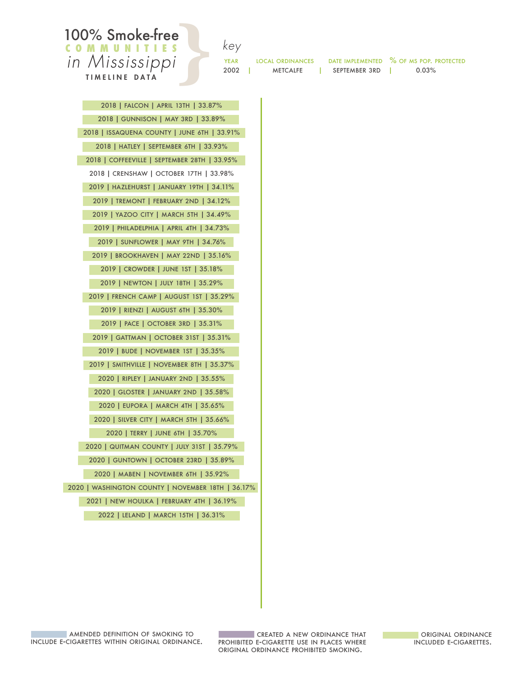#### **100% Smoke-free** c o m m u n i t i e s *in Mississippi* TIMELINE DATA

| .<br>j |  |
|--------|--|
| YEAR   |  |
| 2002   |  |

LOCAL ORDINANCES DATE IMPLEMENTED % OF MS POP. PROTECTED

<sup>2</sup><br>2002 | METCALFE | SEPTEMBER 3RD | 0.03%<br>2002 | METCALFE | SEPTEMBER 3RD | 0.03%

2018 | gunnison | may 3rd | 33.89% 2018 | issaquena county | june 6th | 33.91% 2018 | hatley | september 6th | 33.93% 2018 | coffeeville | september 28th | 33.95% 2018 | crenshaw | october 17th | 33.98% 2019 | hazlehurst | january 19th | 34.11% 2019 | tremont | february 2nd | 34.12% 2019 | yazoo city | march 5th | 34.49% 2019 | philadelphia | april 4th | 34.73% 2019 | sunflower | may 9th | 34.76% 2019 | brookhaven | may 22nd | 35.16% 2019 | crowder | june 1st | 35.18% 2019 | newton | july 18th | 35.29% 2019 | french camp | august 1st | 35.29% 2019 | rienzi | august 6th | 35.30% 2019 | pace | october 3rd | 35.31% 2019 | gattman | october 31st | 35.31% 2019 | bude | november 1st | 35.35% 2019 | smithville | november 8th | 35.37% 2020 | ripley | january 2nd | 35.55% 2020 | gloster | january 2nd | 35.58% 2020 | eupora | march 4th | 35.65% 2020 | silver city | march 5th | 35.66% 2020 | terry | june 6th | 35.70% 2020 | quitman county | july 31st | 35.79% 2020 | guntown | october 23rd | 35.89% 2020 | maben | november 6th | 35.92% 2020 | washington county | november 18th | 36.17% 2021 | new houlka | february 4th | 36.19% 2022 | leland | march 15th | 36.31%

2018 | falcon | april 13th | 33.87%